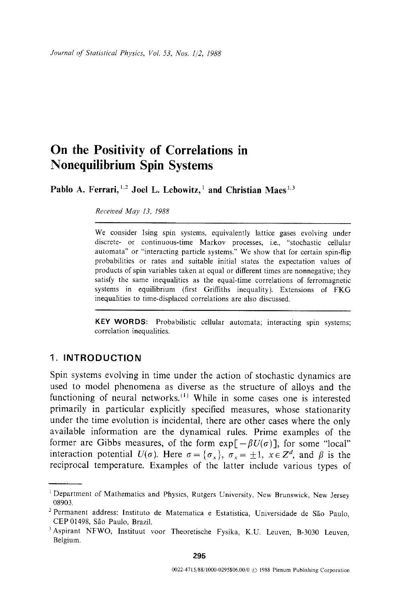# **On the Positivity of Correlations in Nonequilibrium Spin Systems**

Pablo A. Ferrari, <sup>1,2</sup> Joel L. Lebowitz,<sup>1</sup> and Christian Maes<sup>1,3</sup>

*Received May 13, 1988* 

We consider Ising spin systems, equivalently lattice gases evolving under discrete- or continuous-time Markov processes, i.e., "stochastic cellular automata" or "interacting particle systems." We show that for certain spin-flip probabilities or rates and suitable initial states the expectation values of products of spin variables taken at equal or different times are nonnegative; they satisfy the same inequalities as the equal-time correlations of ferromagnetic systems in equilibrium (first Griffiths inequality). Extensions of FKG inequalities to time-displaced correlations are also discussed.

**KEY WORDS:** Probabilistic cellular automata; interacting spin systems; correlation inequalities.

# **1. INTRODUCTION**

Spin systems evolving in time under the action of stochastic dynamics are used to model phenomena as diverse as the structure of alloys and the functioning of neural networks.<sup> $(1)$ </sup> While in some cases one is interested primarily in particular explicitly specified measures, whose stationarity under the time evolution is incidental, there are other cases where the only available information are the dynamical rules. Prime examples of the former are Gibbs measures, of the form  $exp[-\beta U(\sigma)]$ , for some "local" interaction potential  $U(\sigma)$ . Here  $\sigma = {\sigma_x}$ ,  $\sigma_x = \pm 1$ ,  $x \in Z^d$ , and  $\beta$  is the reciprocal temperature. Examples of the latter include various types of

<sup>&</sup>lt;sup>1</sup> Department of Mathematics and Physics, Rutgers University, New Brunswick, New Jersey 08903.

<sup>&</sup>lt;sup>2</sup> Permanent address: Instituto de Matematica e Estatistica, Universidade de São Paulo, CEP 01498, São Paulo, Brazil.

<sup>&</sup>lt;sup>3</sup> Aspirant NFWO, Instituut voor Theoretische Fysika, K.U. Leuven, B-3030 Leuven, Belgium.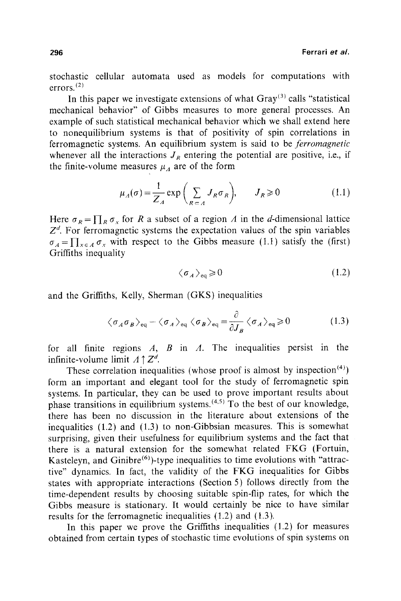stochastic cellular automata used as models for computations with errors. (2)

In this paper we investigate extensions of what  $\text{Gray}^{(3)}$  calls "statistical mechanical behavior" of Gibbs measures to more general processes. An example of such statistical mechanical behavior which we shall extend here to nonequilibrium systems is that of positivity of spin correlations in ferromagnetic systems. An equilibrium system is said to be *ferromagnetic*  whenever all the interactions  $J_R$  entering the potential are positive, i.e., if the finite-volume measures  $\mu_A$  are of the form

$$
\mu_A(\sigma) = \frac{1}{Z_A} \exp\left(\sum_{R \subset A} J_R \sigma_R\right), \qquad J_R \geq 0 \tag{1.1}
$$

Here  $\sigma_R = \prod_R \sigma_x$  for R a subset of a region A in the d-dimensional lattice  $Z<sup>d</sup>$ . For ferromagnetic systems the expectation values of the spin variables  $\sigma_A = \prod_{x \in A} \sigma_x$  with respect to the Gibbs measure (1.1) satisfy the (first) Griffiths inequality

$$
\langle \sigma_A \rangle_{\text{eq}} \geq 0 \tag{1.2}
$$

and the Griffiths, Kelly, Sherman (GKS) inequalities

$$
\langle \sigma_A \sigma_B \rangle_{\text{eq}} - \langle \sigma_A \rangle_{\text{eq}} \langle \sigma_B \rangle_{\text{eq}} = \frac{\partial}{\partial J_B} \langle \sigma_A \rangle_{\text{eq}} \ge 0 \tag{1.3}
$$

for all finite regions  $A$ ,  $B$  in  $A$ . The inequalities persist in the infinite-volume limit  $A \uparrow Z^d$ .

These correlation inequalities (whose proof is almost by inspection  $(4)$ ) form an important and elegant tool for the study of ferromagnetic spin systems. In particular, they can be used to prove important results about phase transitions in equilibrium systems.  $(4.5)$  To the best of our knowledge, there has been no discussion in the literature about extensions of the inequalities (1.2) and (1.3) to non-Gibbsian measures. This is somewhat surprising, given their usefulness for equilibrium systems and the fact that there is a natural extension for the somewhat related FKG (Fortuin, Kasteleyn, and Ginibre<sup> $(6)$ </sup>)-type inequalities to time evolutions with "attractive" dynamics. In fact, the validity of the FKG inequalities for Gibbs states with appropriate interactions (Section 5) follows directly from the time-dependent results by choosing suitable spin-flip rates, for which the Gibbs measure is stationary. It would certainly be nice to have similar results for the ferromagnetic inequalities (1.2) and (1.3).

In this paper we prove the Griffiths inequalities (1.2) for measures obtained from certain types of stochastic time evolutions of spin systems on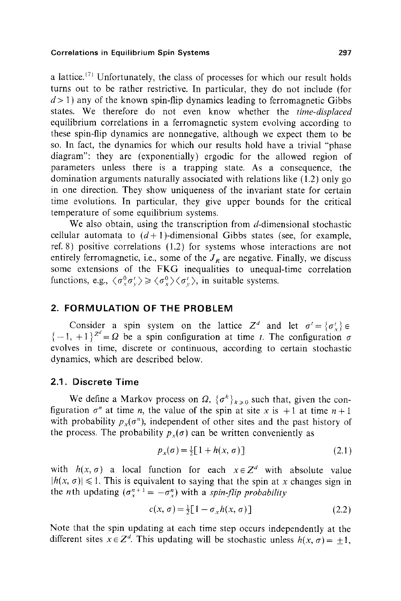a lattice.<sup>(7)</sup> Unfortunately, the class of processes for which our result holds turns out to be rather restrictive. In particular, they do not include (for  $d > 1$ ) any of the known spin-flip dynamics leading to ferromagnetic Gibbs states. We therefore do not even know whether the *time-displaced*  equilibrium correlations in a ferromagnetic system evolving according to these spin-flip dynamics are nonnegative, although we expect them to be so. In fact, the dynamics for which our results hold have a trivial "phase diagram": they are (exponentially) ergodic for the allowed region of parameters unless there is a trapping state. As a consequence, the domination arguments naturally associated with relations like (1.2) only go in one direction. They show uniqueness of the invariant state for certain time evolutions. In particular, they give upper bounds for the critical temperature of some equilibrium systems.

We also obtain, using the transcription from d-dimensional stochastic cellular automata to  $(d+1)$ -dimensional Gibbs states (see, for example, ref. 8) positive correlations (1.2) for systems whose interactions are not entirely ferromagnetic, i.e., some of the  $J_R$  are negative. Finally, we discuss some extensions of the FKG inequalities to unequal-time correlation functions, e.g.,  $\langle \sigma_v^0 \sigma_v^i \rangle \geq \langle \sigma_v^0 \rangle \langle \sigma_v^i \rangle$ , in suitable systems.

# **2. FORMULATION OF THE PROBLEM**

Consider a spin system on the lattice  $Z^d$  and let  $\sigma' = {\sigma'_{k}} \in$  ${-1, +1}^{\infty} = \Omega$  be a spin configuration at time t. The configuration  $\sigma$ evolves in time, discrete or continuous, according to certain stochastic dynamics, which are described below.

### **2.1. Discrete Time**

We define a Markov process on  $\Omega$ ,  $\{\sigma^k\}_{k\geq 0}$  such that, given the configuration  $\sigma^n$  at time *n*, the value of the spin at site x is +1 at time  $n+1$ with probability  $p_x(\sigma^n)$ , independent of other sites and the past history of the process. The probability  $p_x(\sigma)$  can be written conveniently as

$$
p_x(\sigma) = \frac{1}{2} \left[ 1 + h(x, \sigma) \right] \tag{2.1}
$$

with  $h(x, \sigma)$  a local function for each  $x \in \mathbb{Z}^d$  with absolute value  $|h(x, \sigma)| \leq 1$ . This is equivalent to saying that the spin at x changes sign in the *n*th updating  $(\sigma_x^{n+1} = -\sigma_x^n)$  with a *spin-flip probability* 

$$
c(x, \sigma) = \frac{1}{2} [1 - \sigma_x h(x, \sigma)] \tag{2.2}
$$

Note that the spin updating at each time step occurs independently at the different sites  $x \in \mathbb{Z}^d$ . This updating will be stochastic unless  $h(x, \sigma) = \pm 1$ ,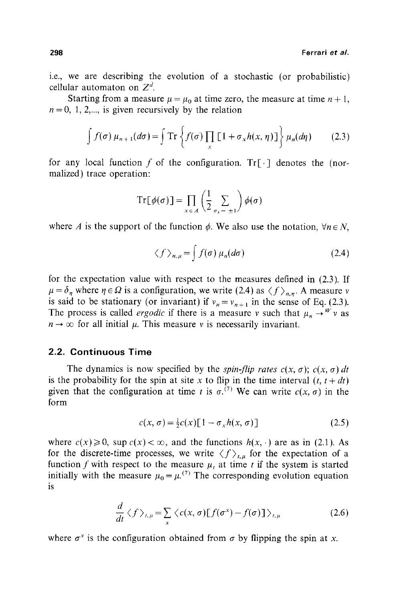i.e., we are describing the evolution of a stochastic (or probabilistic) cellular automaton on  $Z^d$ .

Starting from a measure  $\mu = \mu_0$  at time zero, the measure at time  $n + 1$ ,  $n = 0, 1, 2,...$ , is given recursively by the relation

$$
\int f(\sigma) \mu_{n+1}(d\sigma) = \int \mathrm{Tr} \left\{ f(\sigma) \prod_{x} \left[ 1 + \sigma_x h(x, \eta) \right] \right\} \mu_n(d\eta) \tag{2.3}
$$

for any local function f of the configuration.  $Tr[\cdot]$  denotes the (normalized) trace operation:

$$
Tr[\phi(\sigma)] = \prod_{x \in A} \left(\frac{1}{2} \sum_{\sigma_x = \pm 1}\right) \phi(\sigma)
$$

where A is the support of the function  $\phi$ . We also use the notation,  $\forall n \in N$ ,

$$
\langle f \rangle_{n,\mu} = \int f(\sigma) \,\mu_n(d\sigma) \tag{2.4}
$$

for the expectation value with respect to the measures defined in (2.3). If  $\mu = \delta_n$  where  $\eta \in \Omega$  is a configuration, we write (2.4) as  $\langle f \rangle_{n,n}$ . A measure v is said to be stationary (or invariant) if  $v_n = v_{n+1}$  in the sense of Eq. (2.3). The process is called *ergodic* if there is a measure v such that  $\mu_n \rightarrow W$  v as  $n \rightarrow \infty$  for all initial  $\mu$ . This measure v is necessarily invariant.

### **2.2. Continuous Time**

The dynamics is now specified by the *spin-flip rates*  $c(x, \sigma)$ ;  $c(x, \sigma)$  dt is the probability for the spin at site x to flip in the time interval  $(t, t + dt)$ given that the configuration at time t is  $\sigma^{(7)}$ . We can write  $c(x, \sigma)$  in the form

$$
c(x, \sigma) = \frac{1}{2}c(x)\left[1 - \sigma_x h(x, \sigma)\right]
$$
 (2.5)

where  $c(x) \ge 0$ , sup  $c(x) < \infty$ , and the functions  $h(x, \cdot)$  are as in (2.1). As for the discrete-time processes, we write  $\langle f \rangle_{t,u}$  for the expectation of a function f with respect to the measure  $\mu_t$ , at time t if the system is started initially with the measure  $\mu_0 = \mu^{(7)}$  The corresponding evolution equation is

$$
\frac{d}{dt}\langle f \rangle_{t,\mu} = \sum_{x} \langle c(x,\sigma)[f(\sigma^x) - f(\sigma)] \rangle_{t,\mu}
$$
\n(2.6)

where  $\sigma^x$  is the configuration obtained from  $\sigma$  by flipping the spin at x.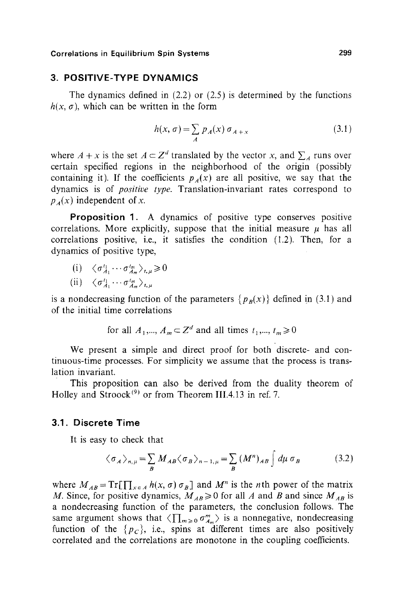### **3. POSITIVE-TYPE DYNAMICS**

The dynamics defined in  $(2.2)$  or  $(2.5)$  is determined by the functions  $h(x, \sigma)$ , which can be written in the form

$$
h(x,\,\sigma) = \sum_{A} p_A(x)\,\sigma_{A+x} \tag{3.1}
$$

where  $A + x$  is the set  $A \subset \mathbb{Z}^d$  translated by the vector x, and  $\sum_A$  runs over certain specified regions in the neighborhood of the origin (possibly containing it). If the coefficients  $p_A(x)$  are all positive, we say that the dynamics is of *positive type.* Translation-invariant rates correspond to  $p_A(x)$  independent of x.

**Proposition** 1. A dynamics of positive type conserves positive correlations. More explicitly, suppose that the initial measure  $\mu$  has all correlations positive, i.e., it satisfies the condition  $(1,2)$ . Then, for a dynamics of positive type,

(i) 
$$
\langle \sigma_{A_1}^{t_1} \cdots \sigma_{A_m}^{t_m} \rangle_{t,\mu} \ge 0
$$
  
(ii)  $\langle \sigma_{A_1}^{t_1} \cdots \sigma_{A_m}^{t_m} \rangle_{t,\mu}$ 

is a nondecreasing function of the parameters  $\{p_B(x)\}\$  defined in (3.1) and of the initial time correlations

for all 
$$
A_1, ..., A_m \subset \mathbb{Z}^d
$$
 and all times  $t_1, ..., t_m \ge 0$ 

We present a simple and direct proof for both discrete- and continuous-time processes. For simplicity we assume that the process is translation invariant.

This proposition can also be derived from the duality theorem of Holley and Stroock<sup>(9)</sup> or from Theorem III.4.13 in ref. 7.

### **3.1. Discrete Time**

It is easy to check that

$$
\langle \sigma_A \rangle_{n,\mu} = \sum_B M_{AB} \langle \sigma_B \rangle_{n-1,\mu} = \sum_B (M^n)_{AB} \int d\mu \, \sigma_B \tag{3.2}
$$

where  $M_{AB} = Tr[\prod_{x \in A} h(x, \sigma) \sigma_B]$  and  $M^n$  is the *n*th power of the matrix *M*. Since, for positive dynamics,  $M_{AB} \ge 0$  for all A and B and since  $M_{AB}$  is a nondecreasing function of the parameters, the conclusion follows. The same argument shows that  $\langle \prod_{m\geqslant 0} \sigma_{A_m}^m \rangle$  is a nonnegative, nondecreasing function of the  $\{p_c\}$ , i.e., spins at different times are also positively correlated and the correlations are monotone in the coupling coefficients.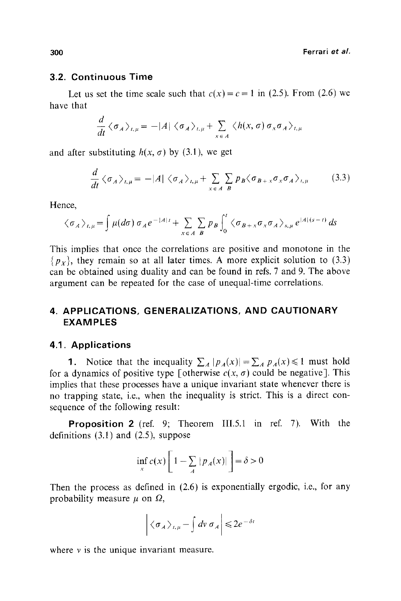### **3.2. Continuous Time**

Let us set the time scale such that  $c(x) = c = 1$  in (2.5). From (2.6) we have that

$$
\frac{d}{dt}\langle \sigma_A \rangle_{t,\mu} = -|A| \langle \sigma_A \rangle_{t,\mu} + \sum_{x \in A} \langle h(x,\sigma) \sigma_x \sigma_A \rangle_{t,\mu}
$$

and after substituting  $h(x, \sigma)$  by (3.1), we get

$$
\frac{d}{dt}\langle \sigma_A \rangle_{t,\mu} = -|A| \langle \sigma_A \rangle_{t,\mu} + \sum_{x \in A} \sum_{B} p_B \langle \sigma_{B+x} \sigma_x \sigma_A \rangle_{t,\mu}
$$
(3.3)

Hence,

$$
\langle \sigma_A \rangle_{t,\mu} = \int \mu(d\sigma) \, \sigma_A e^{-|A|t} + \sum_{x \in A} \sum_{B} p_B \int_0^t \langle \sigma_{B+x} \sigma_x \sigma_A \rangle_{s,\mu} e^{|A|(s-t)} ds
$$

This implies that once the correlations are positive and monotone in the  $\{p_{\chi}\}\$ , they remain so at all later times. A more explicit solution to (3.3) can be obtained using duality and can be found in refs. 7 and 9. The above argument can be repeated for the case of unequal-time correlations.

# **4. APPLICATIONS, GENERALIZATIONS, AND CAUTIONARY EXAMPLES**

### **4.1. Applications**

1. Notice that the inequality  $\sum_{A} |p_{A}(x)| = \sum_{A} p_{A}(x) \le 1$  must hold for a dynamics of positive type [otherwise  $c(x, \sigma)$  could be negative]. This implies that these processes have a unique invariant state whenever there is no trapping state, i.e., when the inequality is strict. This is a direct consequence of the following result:

**Proposition 2** (ref. 9; Theorem III.5.1 in ref. 7). With the definitions  $(3.1)$  and  $(2.5)$ , suppose

$$
\inf_{x} c(x) \left[ 1 - \sum_{A} |p_A(x)| \right] = \delta > 0
$$

Then the process as defined in (2.6) is exponentially ergodic, i.e., for any probability measure  $\mu$  on  $\Omega$ ,

$$
\left| \langle \sigma_A \rangle_{t,\mu} - \int dv \, \sigma_A \right| \leq 2e^{-\delta t}
$$

where  $\nu$  is the unique invariant measure.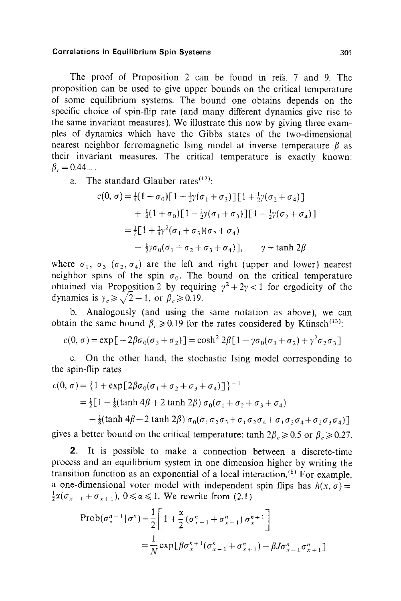The proof of Proposition 2 can be found in refs. 7 and 9. The proposition can be used to give upper bounds on the critical temperature of some equilibrium systems. The bound one obtains depends on the specific choice of spin-flip rate (and many different dynamics give rise to the same invariant measures). We illustrate this now by giving three examples of dynamics which have the Gibbs states of the two-dimensional nearest neighbor ferromagnetic Ising model at inverse temperature  $\beta$  as their invariant measures. The critical temperature is exactly known:  $\beta_c = 0.44...$ .

a. The standard Glauber rates $(12)$ :

$$
c(0, \sigma) = \frac{1}{4}(1 - \sigma_0)[1 + \frac{1}{2}\gamma(\sigma_1 + \sigma_3)][1 + \frac{1}{2}\gamma(\sigma_2 + \sigma_4)]
$$
  
+ 
$$
\frac{1}{4}(1 + \sigma_0)[1 - \frac{1}{2}\gamma(\sigma_1 + \sigma_3)][1 - \frac{1}{2}\gamma(\sigma_2 + \sigma_4)]
$$
  
= 
$$
\frac{1}{2}[1 + \frac{1}{4}\gamma^2(\sigma_1 + \sigma_3)(\sigma_2 + \sigma_4)
$$
  
- 
$$
\frac{1}{2}\gamma\sigma_0(\sigma_1 + \sigma_2 + \sigma_3 + \sigma_4)], \qquad \gamma = \tanh 2\beta
$$

where  $\sigma_1$ ,  $\sigma_3$  ( $\sigma_2$ ,  $\sigma_4$ ) are the left and right (upper and lower) nearest neighbor spins of the spin  $\sigma_0$ . The bound on the critical temperature obtained via Proposition 2 by requiring  $y^2 + 2y < 1$  for ergodicity of the dynamics is  $\gamma_c \ge \sqrt{2}-1$ , or  $\beta_c \ge 0.19$ .

b. Analogously (and using the same notation as above), we can obtain the same bound  $\beta_c \ge 0.19$  for the rates considered by Künsch<sup>(13)</sup>:

$$
c(0, \sigma) = \exp[-2\beta\sigma_0(\sigma_3 + \sigma_2)] = \cosh^2 2\beta[1 - \gamma\sigma_0(\sigma_3 + \sigma_2) + \gamma^2\sigma_2\sigma_3]
$$

c. On the other hand, the stochastic Ising model corresponding to the spin-flip rates

$$
c(0, \sigma) = \{1 + \exp[2\beta\sigma_0(\sigma_1 + \sigma_2 + \sigma_3 + \sigma_4)]\}^{-1}
$$
  
=  $\frac{1}{2}[1 - \frac{1}{8}(\tanh 4\beta + 2 \tanh 2\beta) \sigma_0(\sigma_1 + \sigma_2 + \sigma_3 + \sigma_4)$   
 $-\frac{1}{8}(\tanh 4\beta - 2 \tanh 2\beta) \sigma_0(\sigma_1 \sigma_2 \sigma_3 + \sigma_1 \sigma_2 \sigma_4 + \sigma_1 \sigma_3 \sigma_4 + \sigma_2 \sigma_3 \sigma_4)]$ 

gives a better bound on the critical temperature: tanh  $2\beta_c \geq 0.5$  or  $\beta_c \geq 0.27$ .

2. It is possible to make a connection between a discrete-time process and an equilibrium system in one dimension higher by writing the transition function as an exponential of a local interaction.<sup>(8)</sup> For example, a one-dimensional voter model with independent spin flips has  $h(x, \sigma) =$  $\frac{1}{2}\alpha(\sigma_{x-1}+\sigma_{x+1}), 0 \le \alpha \le 1$ . We rewrite from (2.1)

$$
\begin{aligned} \text{Prob}(\sigma_x^{n+1} | \sigma^n) &= \frac{1}{2} \bigg[ 1 + \frac{\alpha}{2} \left( \sigma_{x-1}^n + \sigma_{x+1}^n \right) \sigma_x^{n+1} \bigg] \\ &= \frac{1}{N} \exp[ \beta \sigma_x^{n+1} (\sigma_{x-1}^n + \sigma_{x+1}^n) - \beta J \sigma_{x-1}^n \sigma_{x+1}^n] \end{aligned}
$$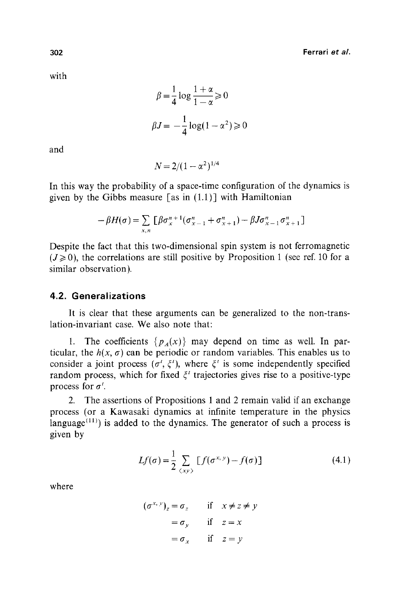with

$$
\beta = \frac{1}{4} \log \frac{1 + \alpha}{1 - \alpha} \ge 0
$$

$$
\beta J = -\frac{1}{4} \log(1 - \alpha^2) \ge 0
$$

and

$$
N = 2/(1 - \alpha^2)^{1/4}
$$

In this way the probability of a space-time configuration of the dynamics is given by the Gibbs measure [as in  $(1.1)$ ] with Hamiltonian

$$
-\beta H(\sigma) = \sum_{x,n} \left[ \beta \sigma_x^{n+1} (\sigma_{x-1}^n + \sigma_{x+1}^n) - \beta J \sigma_{x-1}^n \sigma_{x+1}^n \right]
$$

Despite the fact that this two-dimensional spin system is not ferromagnetic  $(J \ge 0)$ , the correlations are still positive by Proposition 1 (see ref. 10 for a similar observation).

### **4.2. Generalizations**

It is clear that these arguments can be generalized to the non-translation-invariant case. We also note that:

1. The coefficients  $\{p_A(x)\}\$  may depend on time as well. In particular, the  $h(x, \sigma)$  can be periodic or random variables. This enables us to consider a joint process ( $\sigma'$ ,  $\xi'$ ), where  $\xi'$  is some independently specified random process, which for fixed  $\xi'$  trajectories gives rise to a positive-type process for  $\sigma^t$ .

2. The assertions of Propositions 1 and 2 remain valid if an exchange process (or a Kawasaki dynamics at infinite temperature in the physics language<sup> $(11)$ </sup>) is added to the dynamics. The generator of such a process is given by

$$
Lf(\sigma) = \frac{1}{2} \sum_{\langle xy \rangle} [f(\sigma^{x,y}) - f(\sigma)] \tag{4.1}
$$

where

$$
(\sigma^{x, y})_z = \sigma_z \quad \text{if} \quad x \neq z \neq y
$$

$$
= \sigma_y \quad \text{if} \quad z = x
$$

$$
= \sigma_x \quad \text{if} \quad z = y
$$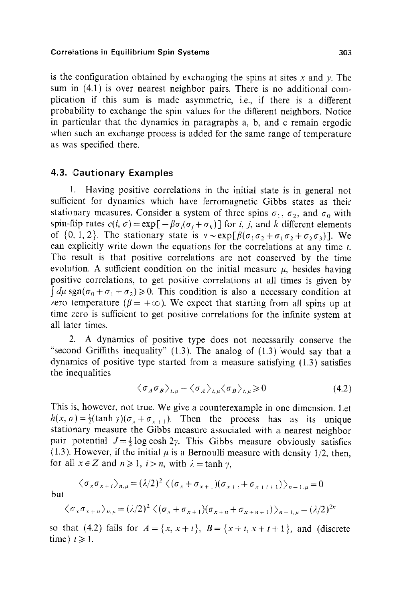is the configuration obtained by exchanging the spins at sites x and y. The sum in (4.1) is over nearest neighbor pairs. There is no additional complication if this sum is made asymmetric, i.e., if there is a different probability to exchange the spin values for the different neighbors. Notice in particular that the dynamics in paragraphs a, b, and c remain ergodic when such an exchange process is added for the same range of temperature as was specified there.

### **4.3. Cautionary Examples**

1. Having positive correlations in the initial state is in general not sufficient for dynamics which have ferromagnetic Gibbs states as their stationary measures. Consider a system of three spins  $\sigma_1$ ,  $\sigma_2$ , and  $\sigma_0$  with spin-flip rates  $c(i, \sigma) = \exp[-\beta \sigma_i(\sigma_i + \sigma_k)]$  for *i*, *j*, and *k* different elements of  $\{0, 1, 2\}$ . The stationary state is  $v \sim \exp[\beta(\sigma_1\sigma_2+\sigma_1\sigma_2+\sigma_2\sigma_3)]$ . We can explicitly write down the equations for the correlations at any time  $t$ . The result is that positive correlations are not conserved by the time evolution. A sufficient condition on the initial measure  $\mu$ , besides having positive correlations, to get positive correlations at all times is given by  $\int d\mu$  sgn $(\sigma_0 + \sigma_1 + \sigma_2) \ge 0$ . This condition is also a necessary condition at zero temperature ( $\beta = +\infty$ ). We expect that starting from all spins up at time zero is sufficient to get positive correlations for the infinite system at all later times.

2. A dynamics of positive type does not necessarily conserve the "second Griffiths inequality"  $(1.3)$ . The analog of  $(1.3)$  would say that a dynamics of positive type started from a measure satisfying (1.3) satisfies the inequalities

$$
\langle \sigma_A \sigma_B \rangle_{t,\mu} - \langle \sigma_A \rangle_{t,\mu} \langle \sigma_B \rangle_{t,\mu} \ge 0 \tag{4.2}
$$

This is, however, not true. We give a counterexample in one dimension. Let  $h(x, \sigma) = \frac{1}{2} (\tanh \gamma)(\sigma_x + \sigma_{x+1})$ . Then the process has as its unique stationary measure the Gibbs measure associated with a nearest neighbor pair potential  $J=\frac{1}{2} \log \cosh 2\gamma$ . This Gibbs measure obviously satisfies (1.3). However, if the initial  $\mu$  is a Bernoulli measure with density 1/2, then, for all  $x \in Z$  and  $n \ge 1$ ,  $i > n$ , with  $\lambda = \tanh \gamma$ .

$$
\langle \sigma_x \sigma_{x+i} \rangle_{n,\mu} = (\lambda/2)^2 \langle (\sigma_x + \sigma_{x+1}) (\sigma_{x+i} + \sigma_{x+i+1}) \rangle_{n-1,\mu} = 0
$$

but

$$
\langle \sigma_x \sigma_{x+n} \rangle_{n,\mu} = (\lambda/2)^2 \langle (\sigma_x + \sigma_{x+1})(\sigma_{x+n} + \sigma_{x+n+1}) \rangle_{n-1,\mu} = (\lambda/2)^{2n}
$$

so that (4.2) fails for  $A = \{x, x+t\}$ ,  $B = \{x+t, x+t+1\}$ , and (discrete time)  $t \geq 1$ .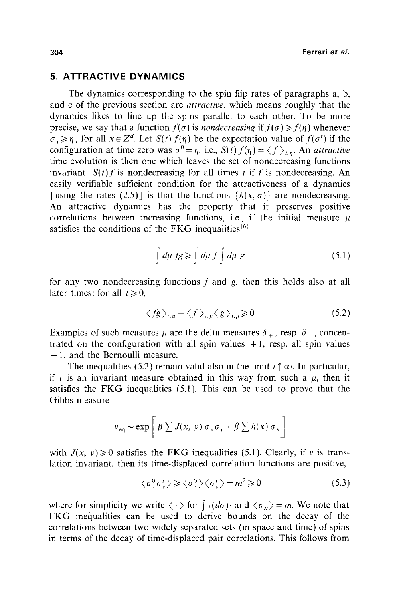# **5. ATTRACTIVE DYNAMICS**

The dynamics corresponding to the spin flip rates of paragraphs a, b, and c of the previous section are *attractive,* which means roughly that the dynamics likes to line up the spins parallel to each other. To be more precise, we say that a function  $f(\sigma)$  is *nondecreasing* if  $f(\sigma) \geq f(\eta)$  whenever  $\sigma_x \geq \eta_x$  for all  $x \in Z^d$ . Let  $S(t) f(\eta)$  be the expectation value of  $f(\sigma')$  if the configuration at time zero was  $\sigma^0 = \eta$ , i.e.,  $S(t) f(\eta) = \langle f \rangle_{t,n}$ . An *attractive* time evolution is then one which leaves the set of nondecreasing functions invariant:  $S(t)$  f is nondecreasing for all times t if f is nondecreasing. An easily verifiable sufficient condition for the attractiveness of a dynamics [using the rates (2.5)] is that the functions  $\{h(x, \sigma)\}\$  are nondecreasing. An attractive dynamics has the property that it preserves positive correlations between increasing functions, i.e., if the initial measure  $\mu$ satisfies the conditions of the FKG inequalities $(6)$ 

$$
\int d\mu \, fg \geqslant \int d\mu \, f \int d\mu \, g \tag{5.1}
$$

for any two nondecreasing functions  $f$  and  $g$ , then this holds also at all later times: for all  $t \ge 0$ ,

$$
\langle fg \rangle_{t,\mu} - \langle f \rangle_{t,\mu} \langle g \rangle_{t,\mu} \ge 0 \tag{5.2}
$$

Examples of such measures  $\mu$  are the delta measures  $\delta_+$ , resp.  $\delta_-$ , concentrated on the configuration with all spin values  $+1$ , resp. all spin values **-1,** and the Bernoulli measure.

The inequalities (5.2) remain valid also in the limit  $t \uparrow \infty$ . In particular, if v is an invariant measure obtained in this way from such a  $\mu$ , then it satisfies the FKG inequalities (5.1). This can be used to prove that the Gibbs measure

$$
v_{\text{eq}} \sim \exp \left[ \beta \sum J(x, y) \sigma_x \sigma_y + \beta \sum h(x) \sigma_x \right]
$$

with  $J(x, y) \ge 0$  satisfies the FKG inequalities (5.1). Clearly, if v is translation invariant, then its time-displaced correlation functions are positive,

$$
\langle \sigma_x^0 \sigma_y^i \rangle \ge \langle \sigma_x^0 \rangle \langle \sigma_y^i \rangle = m^2 \ge 0 \tag{5.3}
$$

where for simplicity we write  $\langle \cdot \rangle$  for  $\int v(d\sigma) \cdot$  and  $\langle \sigma_x \rangle = m$ . We note that FKG inequalities can be used to derive bounds on the decay of the correlations between two widely separated sets (in space and time) of spins in terms of the decay of time-displaced pair correlations. This follows from